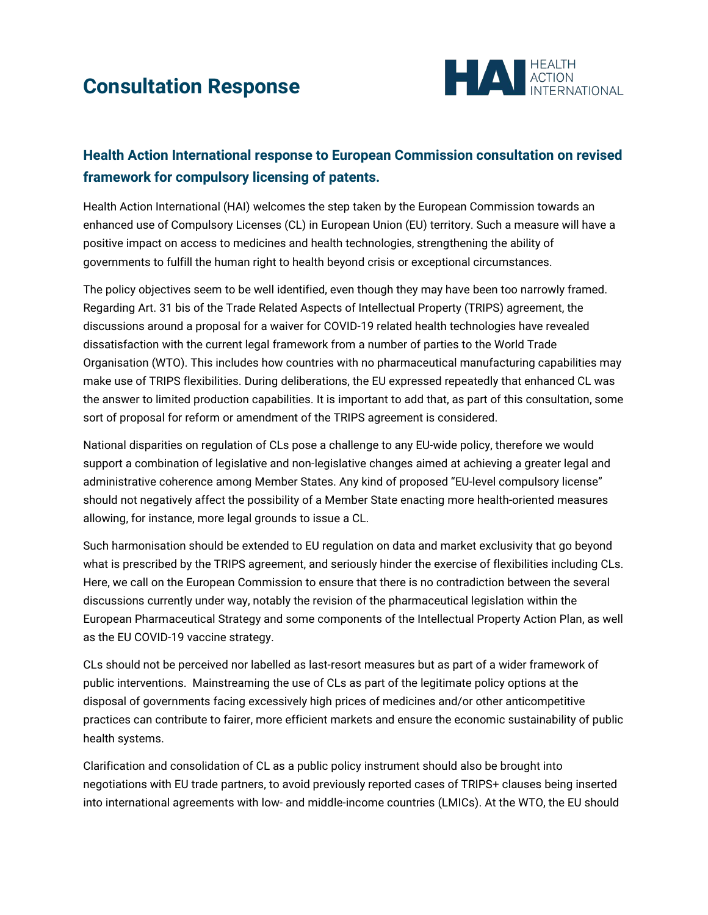## **Consultation Response**



## **Health Action International response to European Commission consultation on revised framework for compulsory licensing of patents.**

Health Action International (HAI) welcomes the step taken by the European Commission towards an enhanced use of Compulsory Licenses (CL) in European Union (EU) territory. Such a measure will have a positive impact on access to medicines and health technologies, strengthening the ability of governments to fulfill the human right to health beyond crisis or exceptional circumstances.

The policy objectives seem to be well identified, even though they may have been too narrowly framed. Regarding Art. 31 bis of the Trade Related Aspects of Intellectual Property (TRIPS) agreement, the discussions around a proposal for a waiver for COVID-19 related health technologies have revealed dissatisfaction with the current legal framework from a number of parties to the World Trade Organisation (WTO). This includes how countries with no pharmaceutical manufacturing capabilities may make use of TRIPS flexibilities. During deliberations, the EU expressed repeatedly that enhanced CL was the answer to limited production capabilities. It is important to add that, as part of this consultation, some sort of proposal for reform or amendment of the TRIPS agreement is considered.

National disparities on regulation of CLs pose a challenge to any EU-wide policy, therefore we would support a combination of legislative and non-legislative changes aimed at achieving a greater legal and administrative coherence among Member States. Any kind of proposed "EU-level compulsory license" should not negatively affect the possibility of a Member State enacting more health-oriented measures allowing, for instance, more legal grounds to issue a CL.

Such harmonisation should be extended to EU regulation on data and market exclusivity that go beyond what is prescribed by the TRIPS agreement, and seriously hinder the exercise of flexibilities including CLs. Here, we call on the European Commission to ensure that there is no contradiction between the several discussions currently under way, notably the revision of the pharmaceutical legislation within the European Pharmaceutical Strategy and some components of the Intellectual Property Action Plan, as well as the EU COVID-19 vaccine strategy.

CLs should not be perceived nor labelled as last-resort measures but as part of a wider framework of public interventions. Mainstreaming the use of CLs as part of the legitimate policy options at the disposal of governments facing excessively high prices of medicines and/or other anticompetitive practices can contribute to fairer, more efficient markets and ensure the economic sustainability of public health systems.

Clarification and consolidation of CL as a public policy instrument should also be brought into negotiations with EU trade partners, to avoid previously reported cases of TRIPS+ clauses being inserted into international agreements with low- and middle-income countries (LMICs). At the WTO, the EU should